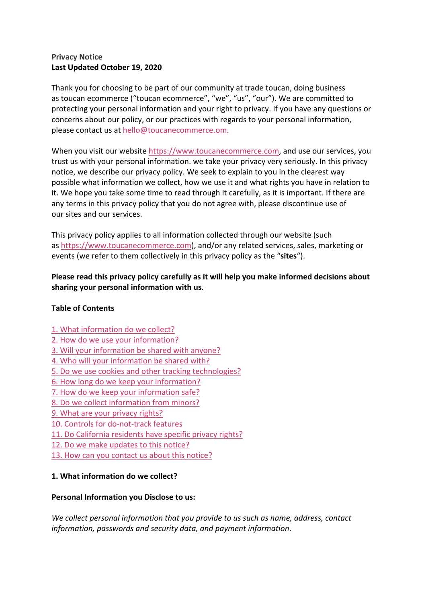## **Privacy Notice Last Updated October 19, 2020**

Thank you for choosing to be part of our community at trade toucan, doing business as toucan ecommerce ("toucan ecommerce", "we", "us", "our"). We are committed to protecting your personal information and your right to privacy. If you have any questions or concerns about our policy, or our practices with regards to your personal information, please contact us at hello@toucanecommerce.om.

When you visit our website https://www.toucanecommerce.com, and use our services, you trust us with your personal information. we take your privacy very seriously. In this privacy notice, we describe our privacy policy. We seek to explain to you in the clearest way possible what information we collect, how we use it and what rights you have in relation to it. We hope you take some time to read through it carefully, as it is important. If there are any terms in this privacy policy that you do not agree with, please discontinue use of our sites and our services.

This privacy policy applies to all information collected through our website (such as https://www.toucanecommerce.com), and/or any related services, sales, marketing or events (we refer to them collectively in this privacy policy as the "**sites**").

**Please read this privacy policy carefully as it will help you make informed decisions about sharing your personal information with us**.

### **Table of Contents**

- 1. What information do we collect?
- 2. How do we use your information?
- 3. Will your information be shared with anyone?
- 4. Who will your information be shared with?
- 5. Do we use cookies and other tracking technologies?
- 6. How long do we keep your information?
- 7. How do we keep your information safe?
- 8. Do we collect information from minors?
- 9. What are your privacy rights?
- 10. Controls for do-not-track features
- 11. Do California residents have specific privacy rights?
- 12. Do we make updates to this notice?
- 13. How can you contact us about this notice?

### **1. What information do we collect?**

#### **Personal Information you Disclose to us:**

*We collect personal information that you provide to us such as name, address, contact information, passwords and security data, and payment information*.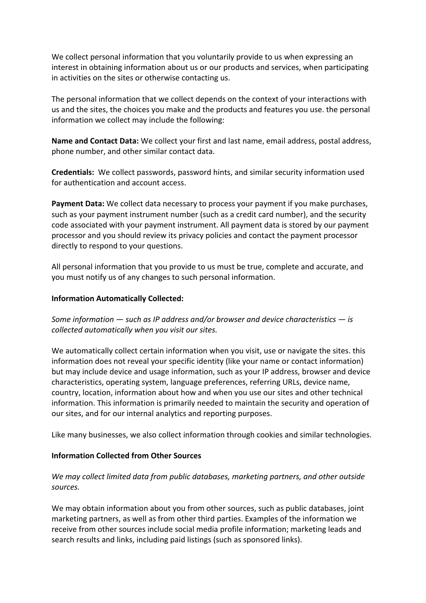We collect personal information that you voluntarily provide to us when expressing an interest in obtaining information about us or our products and services, when participating in activities on the sites or otherwise contacting us.

The personal information that we collect depends on the context of your interactions with us and the sites, the choices you make and the products and features you use. the personal information we collect may include the following:

**Name and Contact Data:** We collect your first and last name, email address, postal address, phone number, and other similar contact data.

**Credentials:** We collect passwords, password hints, and similar security information used for authentication and account access.

**Payment Data:** We collect data necessary to process your payment if you make purchases, such as your payment instrument number (such as a credit card number), and the security code associated with your payment instrument. All payment data is stored by our payment processor and you should review its privacy policies and contact the payment processor directly to respond to your questions.

All personal information that you provide to us must be true, complete and accurate, and you must notify us of any changes to such personal information.

#### **Information Automatically Collected:**

*Some information — such as IP address and/or browser and device characteristics — is collected automatically when you visit our sites.*

We automatically collect certain information when you visit, use or navigate the sites. this information does not reveal your specific identity (like your name or contact information) but may include device and usage information, such as your IP address, browser and device characteristics, operating system, language preferences, referring URLs, device name, country, location, information about how and when you use our sites and other technical information. This information is primarily needed to maintain the security and operation of our sites, and for our internal analytics and reporting purposes.

Like many businesses, we also collect information through cookies and similar technologies.

### **Information Collected from Other Sources**

*We may collect limited data from public databases, marketing partners, and other outside sources.*

We may obtain information about you from other sources, such as public databases, joint marketing partners, as well as from other third parties. Examples of the information we receive from other sources include social media profile information; marketing leads and search results and links, including paid listings (such as sponsored links).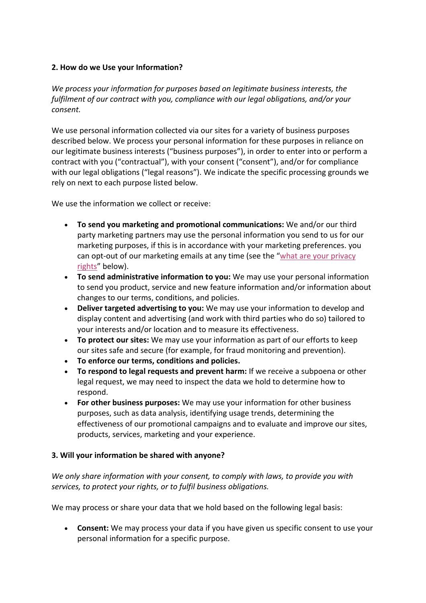### **2. How do we Use your Information?**

*We process your information for purposes based on legitimate business interests, the fulfilment of our contract with you, compliance with our legal obligations, and/or your consent.*

We use personal information collected via our sites for a variety of business purposes described below. We process your personal information for these purposes in reliance on our legitimate business interests ("business purposes"), in order to enter into or perform a contract with you ("contractual"), with your consent ("consent"), and/or for compliance with our legal obligations ("legal reasons"). We indicate the specific processing grounds we rely on next to each purpose listed below.

We use the information we collect or receive:

- **To send you marketing and promotional communications:** We and/or our third party marketing partners may use the personal information you send to us for our marketing purposes, if this is in accordance with your marketing preferences. you can opt-out of our marketing emails at any time (see the "what are your privacy rights" below).
- **To send administrative information to you:** We may use your personal information to send you product, service and new feature information and/or information about changes to our terms, conditions, and policies.
- **Deliver targeted advertising to you:** We may use your information to develop and display content and advertising (and work with third parties who do so) tailored to your interests and/or location and to measure its effectiveness.
- **To protect our sites:** We may use your information as part of our efforts to keep our sites safe and secure (for example, for fraud monitoring and prevention).
- **To enforce our terms, conditions and policies.**
- **To respond to legal requests and prevent harm:** If we receive a subpoena or other legal request, we may need to inspect the data we hold to determine how to respond.
- **For other business purposes:** We may use your information for other business purposes, such as data analysis, identifying usage trends, determining the effectiveness of our promotional campaigns and to evaluate and improve our sites, products, services, marketing and your experience.

### **3. Will your information be shared with anyone?**

*We only share information with your consent, to comply with laws, to provide you with services, to protect your rights, or to fulfil business obligations.*

We may process or share your data that we hold based on the following legal basis:

• **Consent:** We may process your data if you have given us specific consent to use your personal information for a specific purpose.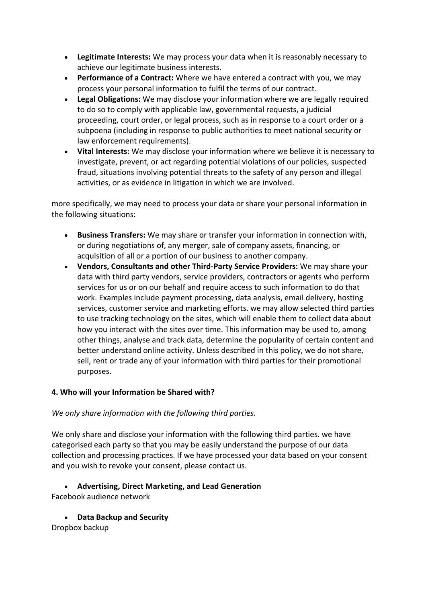- **Legitimate Interests:** We may process your data when it is reasonably necessary to achieve our legitimate business interests.
- **Performance of a Contract:** Where we have entered a contract with you, we may process your personal information to fulfil the terms of our contract.
- **Legal Obligations:** We may disclose your information where we are legally required to do so to comply with applicable law, governmental requests, a judicial proceeding, court order, or legal process, such as in response to a court order or a subpoena (including in response to public authorities to meet national security or law enforcement requirements).
- **Vital Interests:** We may disclose your information where we believe it is necessary to investigate, prevent, or act regarding potential violations of our policies, suspected fraud, situations involving potential threats to the safety of any person and illegal activities, or as evidence in litigation in which we are involved.

more specifically, we may need to process your data or share your personal information in the following situations:

- **Business Transfers:** We may share or transfer your information in connection with, or during negotiations of, any merger, sale of company assets, financing, or acquisition of all or a portion of our business to another company.
- **Vendors, Consultants and other Third-Party Service Providers:** We may share your data with third party vendors, service providers, contractors or agents who perform services for us or on our behalf and require access to such information to do that work. Examples include payment processing, data analysis, email delivery, hosting services, customer service and marketing efforts. we may allow selected third parties to use tracking technology on the sites, which will enable them to collect data about how you interact with the sites over time. This information may be used to, among other things, analyse and track data, determine the popularity of certain content and better understand online activity. Unless described in this policy, we do not share, sell, rent or trade any of your information with third parties for their promotional purposes.

### **4. Who will your Information be Shared with?**

# *We only share information with the following third parties.*

We only share and disclose your information with the following third parties. we have categorised each party so that you may be easily understand the purpose of our data collection and processing practices. If we have processed your data based on your consent and you wish to revoke your consent, please contact us.

# • **Advertising, Direct Marketing, and Lead Generation**

Facebook audience network

• **Data Backup and Security**

Dropbox backup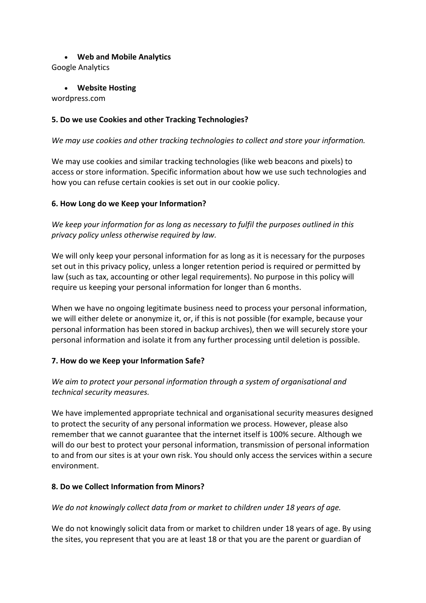### • **Web and Mobile Analytics**

Google Analytics

• **Website Hosting**

wordpress.com

## **5. Do we use Cookies and other Tracking Technologies?**

*We may use cookies and other tracking technologies to collect and store your information.*

We may use cookies and similar tracking technologies (like web beacons and pixels) to access or store information. Specific information about how we use such technologies and how you can refuse certain cookies is set out in our cookie policy.

### **6. How Long do we Keep your Information?**

*We keep your information for as long as necessary to fulfil the purposes outlined in this privacy policy unless otherwise required by law.*

We will only keep your personal information for as long as it is necessary for the purposes set out in this privacy policy, unless a longer retention period is required or permitted by law (such as tax, accounting or other legal requirements). No purpose in this policy will require us keeping your personal information for longer than 6 months.

When we have no ongoing legitimate business need to process your personal information, we will either delete or anonymize it, or, if this is not possible (for example, because your personal information has been stored in backup archives), then we will securely store your personal information and isolate it from any further processing until deletion is possible.

### **7. How do we Keep your Information Safe?**

# *We aim to protect your personal information through a system of organisational and technical security measures.*

We have implemented appropriate technical and organisational security measures designed to protect the security of any personal information we process. However, please also remember that we cannot guarantee that the internet itself is 100% secure. Although we will do our best to protect your personal information, transmission of personal information to and from our sites is at your own risk. You should only access the services within a secure environment.

# **8. Do we Collect Information from Minors?**

*We do not knowingly collect data from or market to children under 18 years of age.*

We do not knowingly solicit data from or market to children under 18 years of age. By using the sites, you represent that you are at least 18 or that you are the parent or guardian of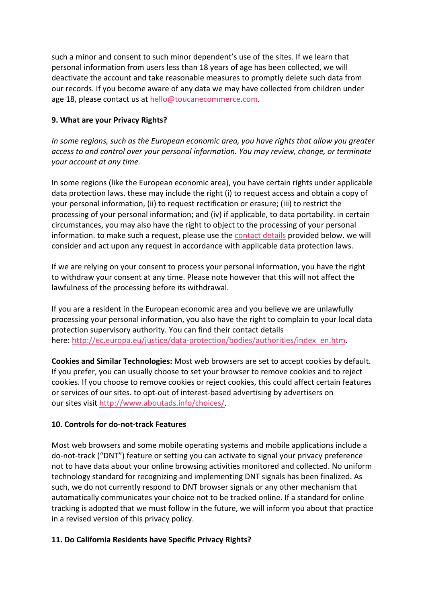such a minor and consent to such minor dependent's use of the sites. If we learn that personal information from users less than 18 years of age has been collected, we will deactivate the account and take reasonable measures to promptly delete such data from our records. If you become aware of any data we may have collected from children under age 18, please contact us at hello@toucanecommerce.com.

### **9. What are your Privacy Rights?**

*In some regions, such as the European economic area, you have rights that allow you greater access to and control over your personal information. You may review, change, or terminate your account at any time.*

In some regions (like the European economic area), you have certain rights under applicable data protection laws. these may include the right (i) to request access and obtain a copy of your personal information, (ii) to request rectification or erasure; (iii) to restrict the processing of your personal information; and (iv) if applicable, to data portability. in certain circumstances, you may also have the right to object to the processing of your personal information. to make such a request, please use the contact details provided below. we will consider and act upon any request in accordance with applicable data protection laws.

If we are relying on your consent to process your personal information, you have the right to withdraw your consent at any time. Please note however that this will not affect the lawfulness of the processing before its withdrawal.

If you are a resident in the European economic area and you believe we are unlawfully processing your personal information, you also have the right to complain to your local data protection supervisory authority. You can find their contact details here: http://ec.europa.eu/justice/data-protection/bodies/authorities/index\_en.htm.

**Cookies and Similar Technologies:** Most web browsers are set to accept cookies by default. If you prefer, you can usually choose to set your browser to remove cookies and to reject cookies. If you choose to remove cookies or reject cookies, this could affect certain features or services of our sites. to opt-out of interest-based advertising by advertisers on our sites visit http://www.aboutads.info/choices/.

### **10. Controls for do-not-track Features**

Most web browsers and some mobile operating systems and mobile applications include a do-not-track ("DNT") feature or setting you can activate to signal your privacy preference not to have data about your online browsing activities monitored and collected. No uniform technology standard for recognizing and implementing DNT signals has been finalized. As such, we do not currently respond to DNT browser signals or any other mechanism that automatically communicates your choice not to be tracked online. If a standard for online tracking is adopted that we must follow in the future, we will inform you about that practice in a revised version of this privacy policy.

### **11. Do California Residents have Specific Privacy Rights?**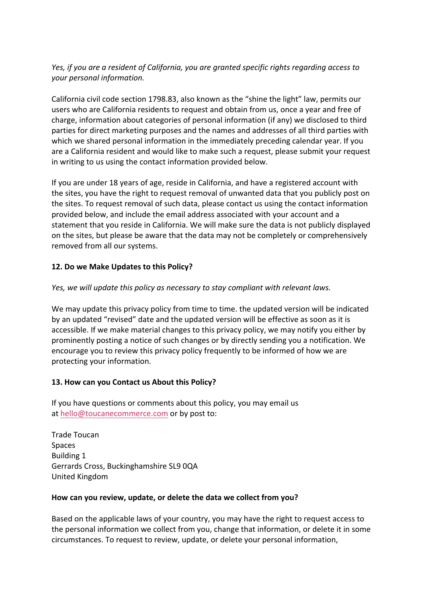## *Yes, if you are a resident of California, you are granted specific rights regarding access to your personal information.*

California civil code section 1798.83, also known as the "shine the light" law, permits our users who are California residents to request and obtain from us, once a year and free of charge, information about categories of personal information (if any) we disclosed to third parties for direct marketing purposes and the names and addresses of all third parties with which we shared personal information in the immediately preceding calendar year. If you are a California resident and would like to make such a request, please submit your request in writing to us using the contact information provided below.

If you are under 18 years of age, reside in California, and have a registered account with the sites, you have the right to request removal of unwanted data that you publicly post on the sites. To request removal of such data, please contact us using the contact information provided below, and include the email address associated with your account and a statement that you reside in California. We will make sure the data is not publicly displayed on the sites, but please be aware that the data may not be completely or comprehensively removed from all our systems.

## **12. Do we Make Updates to this Policy?**

### *Yes, we will update this policy as necessary to stay compliant with relevant laws.*

We may update this privacy policy from time to time. the updated version will be indicated by an updated "revised" date and the updated version will be effective as soon as it is accessible. If we make material changes to this privacy policy, we may notify you either by prominently posting a notice of such changes or by directly sending you a notification. We encourage you to review this privacy policy frequently to be informed of how we are protecting your information.

### **13. How can you Contact us About this Policy?**

If you have questions or comments about this policy, you may email us at hello@toucanecommerce.com or by post to:

Trade Toucan Spaces Building 1 Gerrards Cross, Buckinghamshire SL9 0QA United Kingdom

### **How can you review, update, or delete the data we collect from you?**

Based on the applicable laws of your country, you may have the right to request access to the personal information we collect from you, change that information, or delete it in some circumstances. To request to review, update, or delete your personal information,